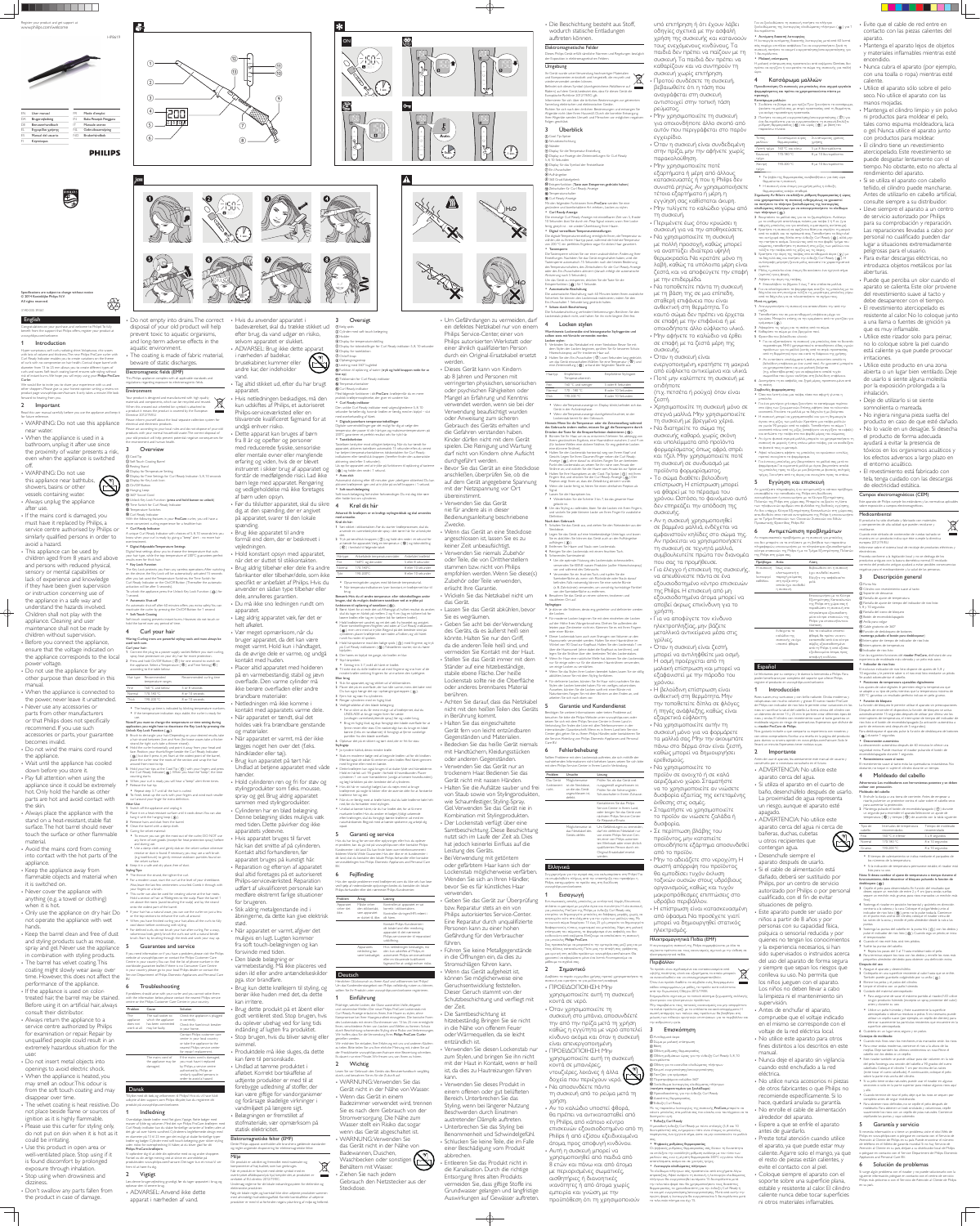

Specifications are subject to change without notice © 2014 Koninklijke Philips N.V. *유*수 All rights reserved.

3140 035 39361







**Contract Contract** 



 $\overline{\mathbf{A}}$ 



**5sec.** 7 |  $\leq$ 

 **1 sec.**



## English

User manua Brugervejledning **Benutzerhandbuch** Eγχειρίδιο χρήσης Manual del usuario Käyttöopas

Congratulations on your purchase, and welcome to Philips! To fully EFFECTIVE OF YOUR PUBLICITY OF MUSLIMS OF THE CONTROL CONTROL CONTROL OF THE STATE OF THE STATE OF THE STATE OF THE STATE OF THE STATE OF THE STATE OF THE STATE OF THE STATE OF THE STATE OF THE STATE OF THE STATE OF THE ST www.philips.com/welcome.

## 1 Introduction

• When the appliance is used in a bathroom, unplug it after use since

Hyper sumptuous, soft curls, radiating shine. Voluptuous, chic waves with lots of volume and thickness. The new Philips ProCare curler with Curl Ready Indicator enables you to create variations on the theme of curls with no compromise on hair health. Conical shape barrel with diameter from 13 to 25 mm allows you to create different types of curls and waves. Soft touch coating barrel ensures safe styling without risk of instant burns. We hope you will enjoy using your Philips ProCare Curler.

## 2 Important

the proximity of water presents a risk, even when the appliance is switched off. WARNING: Do not use this appliance near bathtubs,

similarly qualified persons in order to avoid a hazard. • This appliance can be used by children aged from 8 years and above and persons with reduced physical, sensory or mental capabilities or lack of experience and knowledge if they have been given supervision or instruction concerning use of the appliance in a safe way and understand the hazards involved. Children shall not play with the appliance. Cleaning and user maintenance shall not be made by children without supervision. • Before you connect the appliance, ensure that the voltage indicated on the appliance corresponds to the local power voltage. • Do not use the appliance for any other purpose than described in this manual • When the appliance is connected to the power, never leave it unattended. • Never use any accessories or parts from other manufacturers or that Philips does not specifically recommend. If you use such accessories or parts, your guarantee becomes invalid. Do not wind the mains cord round the appliance. • Wait until the appliance has cooled down before you store it. • Pay full attention when using the appliance since it could be extremely hot. Only hold the handle as other parts are hot and avoid contact with the skin. Always place the appliance with the

stand on a heat-resistant, stable flat surface. The hot barrel should never touch the surface or other flammable material. • Avoid the mains cord from coming into contact with the hot parts of the appliance. • Keep the appliance away from flammable objects and material when it is switched on. • Never cover the appliance with

showers, basins or other vessels containing water. • Always unplug the appliance after use. • If the mains cord is damaged, you must have it replaced by Philips, a service centre authorised by Philips or

• Keep the barrel clean and free of dust and styling products such as mousse,

• Please use this curler for styling only, do not put on skin when it is hot as it could be irritating. Use this product in open area or well-ventilated place. Stop using if it is found discomfort by prolonged exposure through inhalation. • Stop using when drowsiness and dizziness.

• Don't swallow any parts fallen from the product in case of damage.

This Philips appliance complies with all applicable standards and gulations regarding exposure to electromagnetic fields.

the environment and human health. **Overview** 

 Display for Time Settings for Curl Ready Indicator: 5, 8, 10 seconds **<sup>1</sup>** Unlock Key Lock Function (press and hold button to unlock) With the following features in your ProCare curler, you will have a more convenient curling experience for a healthier hair. A unique Curl Ready Indicator with choices of 5, 8, 10 seconds lets you know when your curl is ready by giving a "beep" alert - no more hair Digital heat settings allow you to choose the temperature that suits your hair type, while the top temperature of 200ºC guarantees perfect The Key Lock protects you from any careless operations. After switching on the device, the Key Lock will be automatically activated 15 seconds after you last used the Temperature Switches, the Time Switch for Curl Ready Indicator or the On/Off Button (Thereafter the automatic To unlock the appliance, press the Unlock Key Lock Function (  $\circledR$  ) for An automatic shut-off after 60 minutes offers you extra safety. You can reactivate the curler by pressing the On/Off Button for 1 second. Soft touch coating prevents instant burns. However, do not touch or Waring: Curling irons are powerful styling tools and must always be 1 Connect the plug to a power supply socket. Before you start curling, spray heat protectant on your dry hair for more protection. 2 Press and hold On/Off Button ( $\circled{2}$ ) for one second to switch on the appliance. Select a Temperature  $(\, \circledast \,)$  and Time Setting(  $\circledast \,)$ Recommended curling time Fine 160 °C and below 5 or 8 seconds Normal 170-180 °C 8 or 10 seconds Thick 190-200 °C 8 or 10 seconds The heating up time is indicated by blinking temperature numbers. If the temperature indication stays stable, the curler is ready for Note:If you want to change the temperature or time setting during application, you might have to deactivate the Key Lock by pressing the 3 Brush to de-tangle your hair. Depending on your desired results, take a hair strand between 2cm and 4cm (for loose waves take a thicker 4 Hold the curler horizontally and point it away from your head and face. Position your thumb/finger beside the Curl Ready Indicator  $($   $($  $)$ ) but don't press it yet. Start at the widest point of the barre place the curler near the roots of the section and wrap the hair 5 Hold your hair tips at the Cool Tip  $($   $\odot$   $)$  with your fingers and press the Curl Ready Indicator( (3) ). When you hear the "beep", the time 6 When your curl is ready, you will hear a "beep" alert three times. 8 To finish, break up the curls with your fingers and wind each smaller 2 Place it on a heat-resistant surface until it cools down. You can also To ensure you can get the most out of the curler, DO NOT use any form of wet goods (except for heat protection spray) before Use a damp cloth and gently dab on the velvet surface wherever residue or dust is found. If necessary, you may use a soft brush (e.g. toothbrush) to gently remove stubborn particles found on med reducerede fysiske, sensoriske eller mentale evner eller manglende erfaring og viden, hvis de er blevet instrueret i sikker brug af apparatet og forstår de medfølgende risici. Lad ikke børn lege med apparatet. Rengøring og vedligeholdelse må ikke foretages af børn uden opsyn. • Før du tilslutter apparatet, skal du sikre 4 dig, at den spænding, der er angivet på apparatet, svarer til den lokale spænding. Brug ikke apparatet til andre formål end dem, der er beskrevet i vejledningen. • Hold konstant opsyn med apparatet, når det er sluttet til stikkontakten. Brug aldrig tilbehør eller dele fra andre fabrikanter eller tilbehør/dele, som ikke specifikt er anbefalet af Philips. Hvis du anvender en sådan type tilbehør eller dele, annulleres garantien. Du må ikke sno ledningen rundt om apparatet. Læg aldrig apparatet væk, før det er helt afkølet. Vær meget opmærksom, når du bruger apparatet, da det kan være meget varmt. Hold kun i håndtaget, da de øvrige dele er varme, og undgå kontakt med huden. • Placer altid apparatet med holderen på en varmebestandig, stabil og jævn overflade. Den varme cylinder må ikke berøre overfladen eller andre brandbare materialer. Netledningen må ikke komme i kontakt med apparatets varme dele. Når apparatet er tændt, skal det holdes væk fra brændbare genstande og materialer. Når apparatet er varmt, må der ikke lægges noget hen over det (f.eks. håndklæder eller tøj). Brug kun apparatet på tørt hår. Undlad at betjene apparatet med våde hænder. • Hold cylinderen ren og fri for støv og stylingprodukter som f.eks. mousse, spray og gel. Brug aldrig apparatet sammen med stylingprodukter. Cylinderen har en blød belægning. Denne belægning slides muligvis væk med tiden. Dette påvirker dog ikke apparatets ydeevne. • Hvis apparatet bruges til farvet hår, kan det smitte af på cylinderen. Kontakt altid forhandleren, før apparatet bruges på kunstigt hår. • Reparation og eftersyn af apparatet skal altid foretages på et autoriseret Philips-serviceværksted. Reparation udført af ukvalificeret personale kan

 Temperature Switches <sup>(3)</sup> Curl Ready Indicator

• Curl Ready Indicato

results even for thick hair. • Key Lock Function

activation will be after 5 seconds

We would like to invite you to share your experience with us and other shoppers. Please give us your honest opinion writing a review on product page www.philips.com/haircare. It only takes a minute. We look forward to hearing from you. Environment

anything (e.g. a towel or clothing) when it is hot.

Read this user manual carefully before you use the appliance and keep it for future reference. • WARNING: Do not use this appliance a product it means the product is covered by the European Directive 2012/19/EU. Please inform yourself about the local separate collection system for electrical and electronic products.

not operate the appliance with wet hands.

1 second. • Automatic Shut-of

• Soft Touch Coating

near water. Please act according to your local rules and do not dispose of your old products with your normal household waste. The correct disposal of your old product will help prevent potential negative consequences for

> hold the barrel over any period of time. Curl your hair

spray and gel. Never use the appliance in combination with styling products. • The barrel has velvet coating. This coating might slowly wear away over time. However, this does not affect the

performance of the appliance. • If the appliance is used on colortreated hair, the barrel may be stained. Before using it on artificial hair, always consult their distributor. Always return the appliance to a

service centre authorized by Philips for examination or repair. Repair by unqualified people could result in an extremely hazardous situation for the user.

• Do not insert metal objects into openings to avoid electric shock. When the appliance is heated, you may smell an odour. This odour is from the soft touch coating and may disappear over time. The velvet coating is heat resistive. Do not place beside flame or sources of ignition as it is highly flammable.

aquatic environment.

Electromagnetic fields (EMF)

beware of static discharges.

Your product is designed and manufactured with high quality materials and components, which can be recycled and reused. When this crossed-out wheeled bin symbol is attached to

Cool Tip

Problem Cause Solution The appliance does not has been connected work at all. may be faulty. The wall socket to Check the appliance is plugged which the appliance in correctly. Check the fuse/circuit breaker in your home. Contact Philips customer care center in your local country or take the appliance to the nearest Philips service center for repair/ replacement.

Resting Stand

2) Soft Touch Coating Barrel

Display for Temperature Setting

**10 Time Switch for Curl Ready Indicator** 

 Display for Key Lock Icon On/Off Button Hanging Loop 360º Swivel Cord

Overdådige, bløde krøller med flot glans. Yppige, flotte bølger med masser af fylde og volumen. Med det nye Philips ProCare-krøllejern med Curl Ready-indikator kan du skabe forskellige varianter af krøller, uden at det går ud over hårets sundhed. Cylinderens kegleformede design med en diameter på 13 til 25 mm gør det muligt at skabe forskellige typer krøller og bølger. Cylinder med soft touch-belægning giver sikker styling uden risiko for overophedning. Vi håber, at du bliver glad for dit Philips ProCare-krøllejern. Vi opfordrer dig til at dele din oplevelse med os og andre shoppere.

Digital Adjustable Temperature Settings

Only use the appliance on dry hair. Do the velvet surface. 6 Keep it in a safe and dry place, free of dust. Styling Tips: • The thinner the strand, the tighter the curl. • For a modern wave, start the curl at the level of your cheekbone Also, leave the last few centimeters uncurled. Comb it through with your fingers or a brush This curler can also be used for creating volume at the hair roots. Hold a section of hair at 90degrees to the scalp. Place the barrel 1 cm above the roots (avoid touching the scalp) and lay the strand onto the widest part of the barrel. If your hair has a natural wave, you can use the curler on just a few or the top sections to enhance the curls all around. . When you have finished curling your hair, allow all the curls to fully cool down before continuing with styling. • For defined curls, do not brush your hair after curling. For a wavy, voluminous look, gently brush the curls out with a natural bristle brush. Start by brushing through the ends and work your way up.

and during use

used with care. Curl your hair:

according to the table below: Hair type Recommended

Unlock Key Lock Function (  $\overline{10}$  ).

| medføre ekstremt farlige situationer    |             |                                        |                                                                          |
|-----------------------------------------|-------------|----------------------------------------|--------------------------------------------------------------------------|
|                                         | Problem     | Årsag                                  | Løsning                                                                  |
| for brugeren.                           | Apparatet   | Måske virker                           | Kontroller, at apparatet er sat                                          |
| Stik aldrig metalgenstande ind i        | virker slet | den stikkontakt.                       | korrekt i stikkontakten.                                                 |
| åbningerne, da dette kan give elektrisk | ikke.       | som apparatet<br>er sluttet til, ikke. | Kontroller sikringen/HFI-relæet i<br>dit hjem.                           |
| stød.                                   |             |                                        | Kontakt Philips Kundecenter i                                            |
| Når apparatet er varmt, afgiver det     |             |                                        | dit lokale land eller medbring<br>apparatet til det nærmeste             |
| muligvis en lugt. Lugten kommer         |             |                                        | Philips-servicecenter til reparation/<br>udskiftning.                    |
| fra soft touch-belægningen og kan       |             | Apparatets                             | Hvis netledningen beskadiges, må                                         |
| forsvinde med tiden.                    |             | netledning kan                         | den kun udskiftes af Philips, et                                         |
| Den bløde belægning er                  |             | være beskadiget.                       | autoriseret Philips-serviceværksted<br>eller en tilsvarende kvalificeret |
| varmabactandig Må ikke placeme ved      |             |                                        | fagmand for at undgå enhver risiko                                       |

for brugeren. • Stik aldrig metalgenstande ind i

åbningerne, da dette kan give elektr stød. Når apparatet er varmt, afgiver det

use.

strand, for tight curls take a thinner strand).

• Repeat step 3-7 until all the hair is curled.

curl around your finger for extra definition

#### Elektromagnetiske felter (EMF) Dette Philips-apparat overholder alle branchens gældende standarder og regler angående eksponering for elektromagnetiske felter.

Miliø Dit produkt er udviklet og fremstillet med materialer og omponenter af høj kvalitet, som kan genbruges. Når et produkt er forsynet med dette symbol med en overkrydset affaldsspand på hjul, betyder det, at produktet er

omfattet af EU-direktiv 2012/19/EC. Undersøg reglerne for dit lokale indsamlingssystem for elektriske og elektroniske produkter. Følg de lokale regler, og bortskaf ikke dine udtjente produkter sammer

**Contract** 

around from root to tip.

 Display for tastelåsikon On/off-knap Ophængningsstrop Ledning med 360° kugleled

<sup>12</sup> Temperaturkontakter <sup>3</sup> Curl Ready-indikator

counting starts.

7 Release the hair tip.

Do not empty into drains. The correct disposal of your old product will help prevent toxic to aquatic organisms, and long-term adverse effects in the The coating is made of fabric material, • Hvis du anvender apparatet i badeværelset, skal du trække stikket ud efter brug, da vand udgør en risiko, selvom apparatet er slukket. ADVARSEL: Brug ikke dette apparat i nærheden af badekar,

After Use

1 Switch off the appliance and unplug it.

hang it with the hanging loop  $($   $@$ ) 1 Remove hairs and dust from the barre 4 Clean the barrel with a damp cloth. Caring for velvet material:

temperature rang

overtreatment

## 5 Guarantee and service

If you need information or if you have a problem, please visit the Philips website at www.philips.com or contact the Philips Customer Care Centre in your country. You can find the list of phone number in the worldwide guarantee leaflet. If there is no Consumer Care Centre in your country, please go to your local Philips dealer or contact the Service Department of Philips Domestic Appliances and Personal Care BV.

## **Troubleshooting**

If problems should arise with your curler and you cannot solve them with the information below, please contact the nearest Philips service centre or the Philips Customer Care Centre in your country.

> The mains cord of If the mains cord is damaged, the appliance may be you must have it replaced damaged. by Philips, a service centre authorised by Philips or similarly qualified persons in order to avoid a hazard.

Deutsch lichen Glückwunsch zu Ihrem Kauf und willkommen bei Philips! Um das Kundendienstangebot von Philips vollständig nutzen zu können, sollten Sie Ihr Produkt unter www.philips.com/welcome registrieren. Einführung

Dansk ke med dit køb, og velkommen til Philips! Hvis du vil have fuldt udbytte af den support, som Philips tilbyder, kan du registrere dit produkt på www.philips.com/welcome.

## **Indledning**

Waschbecken oder sonstigen  $\mathbb{N}$ Behältern mit Wasser. Ziehen Sie nach jedem Gebrauch den Netzstecker aus der Steckdose.

Fortæl os din ærlige mening ved at skrive en anmeldelse på produktsiden www.philips.com/haircare. Det tager kun et minut. Vi ser frem til at høre fra dig.

## 2 Vigtigt

Læs denne brugervejledning grundigt, før du tager apparatet i brug, og opbevar den til senere brug. ADVARSEL: Anvend ikke dette apparat i nærheden af vand.

brusekabiner, kummer eller andre kar, der indeholder vand. Tag altid stikket ud, efter du har brugt

apparatet. Hvis netledningen beskadiges, må den kun udskiftes af Philips, et autoriseret Philips-serviceværksted eller en tilsvarende kvalificeret fagmand for at undgå enhver risiko. Dette apparat kan bruges af børn fra 8 år og opefter og personer

> Geben Sie das Gerät zur Überprüfung bzw. Reparatur stets an ein von

et i ation/ ender<br>Hvis netledningen beskades<br>Signals og målet og målet som beskades og målet og målet som beskade som beskade som blevade som blev som blev<br>Signals og målet og målet og målet og målet og målet og målet og målet og måle Philips autorisiertes Service-Center. Eine Reparatur durch unqualifizierte Personen kann zu einer hohen Gefährdung für den Verbraucher führen.

• Die Beschichtung besteht aus Stoff, wodurch statische Entladungen auftreten können.

## Elektromagnetische Felder Dieses Philips Gerät erfüllt sämtliche Normen und Regelungen bezüglich

 Cool-Tip-Spitze 2 Schutzbeschichtung 3 Ständer

Entsperrfunktion (  $\textcircled{\scriptsize{10}}$  ) für 1 Sekunde. Automatische Abschaltung Die automatische Abschaltung nach 60 Minuten bietet Ihnen zusätzliche Sicherheit. Sie können den Lockenstab reaktivieren, indem Sie den

Ein-/Ausschalter 1 Sekunde lang gedrückt halten. • Schutz durch Beschichtung Die Schutzbeschichtung verhindert Verbrennungen. Berühren Sie den enstab jedoch nicht, und halten Sie ihn nicht längere Zeit fest.

# Locken stylen

## varmebestandig. Må ikke placeres ved siden ild eller andre antændelseskilder

pga. stor brandfare. Brug kun dette krøllejern til styling, og berør ikke huden med det, da dette kan irritere Brug dette produkt på et åbent eller

dem Stylen der Locken beginnen, sprühen Sie für besseren Schutz Hitzeschutzspray auf Ihr trockenes Haar auf. 2 Halten Sie den Ein-/Ausschalter  $(\bar{O})$  zwei Sekunden lang gedrückt, um das Gerät einzuschalten.Wählen Sie eine Temperatur ( 12) und eine Zeiteinstellung ( $\circled{0}$ ) anhand der folgenden Tabelle aus:

godt ventileret sted. Stop brugen, hvis du oplever ubehag ved for lang tids indånding af lugten fra produktet. Stop brugen, hvis du bliver søvnig eller svimmel. Produktdele må ikke sluges, da dette

Haartyp Empfohlener Temperaturbereic Empfohlene Stylingzeit Fein 160 °C und weniger 5 oder 8 Sekunden Normal 170 - 180 °C 8 oder 10 Sekunden Dick 190-200 °C 8 oder 10 Sekunden

· Wenn die Temperaturanzeige im Display blinkt, befindet sich das Gerät in der Aufwärmphase.

kan føre til personskade. Undlad at tømme produktet i afløbet. Korrekt bortskaffelse af udtjente produkter er med til at forebygge udledning af stoffer, der kan være giftige for vandorganismer og forårsage skadelige virkninger i vandmiljøet på længere sigt.

des Gebrauchs ändern wollen, müssen Sie ggf. die Tastensperre durch Driicken der Taste für die Entsperrfunktion deaktivieren (  $@$  ). 3 Bürsten Sie Ihr Haar, um es zu entwirren. Nehmen Sie, abhängig von Ihrem gewünschten Ergebnis, eine Haarsträhne zwischen 2 und 4 cm (für lockere Wellen eine dickere Strähne, für eng gedrehte Locken eine dünnere Strähne). 4 Halten Sie den Lockenstab horizontal, weg von Ihrem Kopf und Gesicht. Legen Sie Ihren Daumen/Finger neben die Curl Readynzeige (  $\widehat{\text{\textcircled{\small{a}}}}$  ), ohne darauf zu drücken. Fangen Sie am breiteste Punkt des Lockenstabs an, setzen Sie ihn nahe vom Ansatz der Strähne an, und wickeln Sie die Haare vom Ansatz bis zur Spitze auf. 5 Halten Sie Ihre Haarspitzen an der Cool-Tip-Spitze  $( 0 )$  mit Ihren Fingern fest, und drücken Sie die Curl Ready-Anzeige (  $\overset{\sim}(\mathfrak{B})$  ). Der on zeigt Ihnen an, dass die Zeitzählung aktiviert wurde 6 Wenn die Locke fertig ist, hören Sie einen dreifachen Piepton als Wiederholen Sie die Schritte 3 bis 7, bis das gesamte Haar 8 Um das Styling zu vollenden, lösen Sie die Locken mit Ihren Fingern und wickeln Sie jede kleinere Locke um Ihren Finger für zusätzliche 1 Schalten Sie das Gerät aus, und ziehen Sie den Netzstecker aus der 2 Legen Sie das Gerät auf eine hitzebeständige Unterlage, und lassen Sie es abkühlen. Sie können das Gerät auch an der Aufhängeöse Um die optimale Nutzung des Lockenstabs sicherzustellen, verwenden Sie KEINE nassen Produkte (außer Hitzeschutzspray) Samtoberfläche ab. wenn sich Rückstände oder Staub darauf befinden, Falls notwendig können Sie eine weiche Bürste (z. B. Zahnbürste) verwenden, um vorsichtig hartnäckige Partikel von der Samtoberfläche zu entfernen · Je dünner die Strähnen, desto eng gedrehter und definierter werder Für moderne Locken beginnen Sie mit dem eindrehen der Locken auf der Höhe Ihres Wangenknochens. Drehen Sie außerdem die letzten paar Zentimeter nicht ein. Kämmen Sie es mit Ihren Fingern Dieser Lockenstab kann auch zum Erzeugen von Volumen an den Haarwurzeln verwendet werden. Halten Sie eine Haarsträhne im Winkel von 90 Grad zur Kopfhaut. Halten Sie den Lockenstab 1 cm über die Haarwurzel (ohne dabei die Kopfhaut zu berühren), und legen Sie die Strähne über den breitesten Teil des Lockenstabes. Wenn Ihr Haar eine natürliche Welle hat, können Sie den Lockenstab nur für einige oder nur für die obersten Haarsträhnen verwenden, Wenn Sie das Stylen ihrer Locken beendet haben, lassen Sie sie völlig • Für definierte Locken, bürsten Sie Ihr Haar nicht, nachdem Sie das Stylen der Locken beendet haben. Für ein welliges, voluminöses Aussehen, bürsten Sie die Locken sanft mit einer Bürste mit Naturborsten. Fangen Sie mit dem Bürsten an den Enden an, und 5 Garantie und Kundendienst Benötigen Sie weitere Informationen oder treten Probleme auf, besuchen Sie bitte die Philips Website unter www.philips.com, oder setzen Sie sich mit dem Philips Service-Center in Ihrem Land in Verbindung. Sie finden die Liste mit allen Telefonnummern in der internationalen Garantieschrift. Wenn es in Ihrem Land kein Service-Center gibt, gehen Sie zu Ihrem Philips Händler, oder kontaktieren Sie die Service-Abteilung von Philips Domestic Appliances and Personal Sollten Probleme mit dem Lockenstab auftreten, die sich mithilfe der nachstehenden Informationen nicht beheben lassen, setzen Sie sich bitte an die das Gerät angeschlossen is defekt. Prüfen Sie, ob das Gerät ordnungsgemäß angeschlossen ist. Prüfen Sie die Sicherung/den Schutzschalter in Ihrem Zuhause. Kontaktieren Sie das Philips Service-Center in Ihrem Land, oder bringen Sie das Gerät zum nächsten Philips Service-Center für Reparatur/Ersatz. Möglicherweise ist das Netzkabel des Geräts defekt. Um Gefährdungen zu vermeiden, darf ein defektes Netzkabel nur von einem Philips Service-Center, einer von Philips autorisierten Werkstatt oder einer ähnlich qualifizierten Person durch ein Original-Ersatzkabel ersetzt werden. ιρητήρια για την αγορά σας και καλωσορίσατε στη Philips! Για συσκευής. χρήστη γρίλιες. Χρόνου. ερεθισμούς. δυσφορία από το προϊόν

#### υπό επιτήρηση ή ότι έχουν λάβει οδηγίες σχετικά με την ασφαλή χρήση της συσκευής και κατανοούν τους ενεχόμενους κινδύνους. Τα Για να ξεκλειδώσετε τη συσκευή, πατήστε το πλήκτρο ξεκλειδώματος της λειτουργίας κλειδώματος πλήκτρων ( ω ) για δευτερόλεπτο. • Aυτόματη διακοπή λειτουργίας Η λειτουργία αυτόματης διακοπής λειτουργίας μετά από 60 λεπτά

παιδιά δεν πρέπει να παίζουν με τη συσκευή. Τα παιδιά δεν πρέπει να καθαρίζουν και να συντηρούν τη συσκευή χωρίς επιτήρηση. Προτού συνδέσετε τη συσκευή, βεβαιωθείτε ότι η τάση που αναγράφεται στη συσκευή αντιστοιχεί στην τοπική τάση • Μην χρησιμοποιείτε τη συσκευή νυσκευή, πατήστε το κουμπί ενεργοποίησης/απενεργοποίησης γι 1 δευτερόλεπτο. • Μαλακή επίστρωση Η μαλακή επίστρωση σας προστατεύει από καψίματα Ωστόσο δει πρέπει να αγγίζετε ή να κρατάτε το σώμα της συσκευής για πολλή ώρα. 4 Κατσάρωμα μαλλιών Προειδοποίηση: Οι συσκευές για μπούκλες είναι ισχυρά εργαλεία όρρμαρίσματος και πρέπει να χρησιμοποιούνται πάντα με προσοχή. Κατσάρωμα μαλλιών 1 Συνδέστε το βύσμα σε μια πρίζα. Πριν ξεκινήσετε το κατσάρωμα ψεκάστε τα μαλλιά σας με σπρέι προστασίας από τη θερμότητα,

.<br>νια ακόμη περισσότερη προστασία. 2 Πατήστε το κουμπί ενεργοποίησης/απενεργοποίησης ( $\overline{v}$ ) για ένα δευτερόλεπτο, για να ενεργοποιήσετε τη συσκευή Επιλέξτε ρύθμιση θερμοκρασίας (  $@$  ) και ώρας (  $@$  ) με βάση τον παρακάτω πίνακα Tύπος Συνιστώμενο εύρος Συνιστώμενος χρόνος

σάς παρέχει επιπλέον ασφάλεια. Για να ενεργοποιήσετε ξανά τη

μαλλιών θερμοκρασίας χρήσης Δεπτή τρίχα 160 °C και κάτω στη τη δημειδιαστική τρίας της διατικής Κανονική τρίχα 170-180 °C 8 με 10 δευτερόλεπτα Χοντρή τρίχα 190-200 °C 8 με 10 δευτερόλεπτα

• Τα ψηφία της θερμοκρασίας αναβοσβήνουν για όση ώρα θερμαίνεται η συσκευή. • Η συσκευή είναι έτοιμη για χρήση μόλις η ένδειξη

ι<br>Θεομοκρασίας ανάψει σταθερά Σημείωση: Αν θέλετε να αλλάξετε ρύθμιση θερμοκρασίας ή ώρας ενώ χρησιμοποιείτε τη συσκευή, ενδεχομένως να χρειαστεί να πατήσετε το πλήκτρο ξεκλειδώματος της λειτουργίας κλειδώματος πλήκτρων για να απενεργοποιήσετε το κλείδωμα των πλήκτρων ( (10).

3 Βουρτσίστε τα μαλλιά σας για να τα ξεμπερδέψετε. Ανάλογα με το επιθυμητό αποτέλεσμα, πιάστε μια τούφα 2 ή 4 εκ. (για σφιχτές μπούκλες και για απαλούς κυματισμούς αντίστοιχα 4 Kρατήστε τη συσκευή σε οριζόντια θέση και στρέψτε τη μακριό από το κεφάλι και το πρόσωπό σας. Τοποθετήστε το δάγτυλο τον αντίχειρά σας δίπλα στην ένδειξη Curl Ready ( ® ), αλλά μην την πατήσετε ακόμα. Ξεκινώντας από το πιο φαρδύ τμήμα του ΥΥ ΤΗΝ ΑΠΟΛΙΚΗΝ ΤΗΝ ΑΠΟΛΙΚΗΝ ΤΗΝ ΑΠΟΛΙΚΗΝ ΤΗΝ ΑΠΟΛΙΚΗΝ<br>ΤΟΦΑΛΙΚΟΎ ΤΟ ΠΟθετήστε τη συσκευή στις ρίζες των μαλλιών και τυλίξτε την τούφα, από τις ρίζες ως τις άκρες. 5 Κρατήστε την άκρη της τούφας στο αντιθερμικό άκρο (1) με τα δάχτυλά σας και πατήστε την ένδειξη Curl Ready ((3)). Η <u>αντίστροφη μέτρηση ξεκινά μόλις ακουστεί το χαρακτηριστικό</u> «μπιπ». 6 Μόλις η μπούκλα είναι έτοιμη, θα ακούσετε ένα ηχητικό σήμα «μπιπ») τρεις φορές.

7 Αφήστε την άκρη της τούφας • Επαναλάβετε τα βήματα 3 έως 7 στα υπόλοιπα μαλλιά. 8 Για να ολοκληρώσετε το φορμάρισμα, ανοίξτε τις μπούκλες με τα δάχτυλα και στη συνέχεια τυλίξτε τις μικρότερες μπούκλες γύρω από το δάχτυλο, για να τελειοποιήσετε το σχήμα τους. Μετά τη χρήση 1 Aπενερνοποιήστε τη συσκευή και αποσυνδέστε την από την

πρίζα. 2 Τοποθετήστε τον σε μια αντιθερμική επιφάνεια μέχρι να

κρυώσει. Μπορείτε επίσης να την κρεμάσετε από το γαντζάκι για κρέμασμα (®). δι Αφαιρέστε τις τρίχες και τη σκόνη από το σώμα. 4 Καθαρίστε το σώμα με ένα βρεγμένο πανί.

5 Φροντίδα του βελούδινου υλικού: • Για να αξιοποιήσετε τη συσκευή για μπούκλες όσο το δυνατό περισσότερο, MHN χρησιμοποιείτε οποιοδήποτε είδος υγρ<mark>ώ</mark> προϊόντων για τα μαλλιά (εκτός από το σπρέι προστασίας από τη θερμότητα) πριν και κατά τη διάρκεια της χρήσης

• Αν εντοπίσετε υπολείμματα ή σκόνη, σκουπίστε απαλά τη βελούδινη επιφάνεια με ένα νωπό πανί. Αν χρειαστεί, μπορείτ να χρησιμοποιήσετε και μια μαλακή βούρτσα (π.χ. οδοντόβουρτσα) για να αφαιρέσετε απαλά τυχόν .<br>σωματίδια που έχουν κολλήσει στη βελούδινη επιφάνεια. 6 Διατηρήστε τη σε ασφαλές και ξηρό μέρος, προστατευμένο από

#### τη σκόνη. Συμβουλές φορμαρίσματος:

(π.χ. πετσέτα ή ρούχα) όταν είναι • Όσο πιο λεπτή είναι μια τούφα, τόσο πιο σφιχτή γίνεται η ιιπούκλα. • Για ένα μοντέρνο χτένισμα. ξεκινήστε το κατσάρωμα περίπου

Belægningen er fremstillet af stofmateriale, vær opmærksom på statisk elektricitet.

med almindeligt husholdningsaffald. Korrekt bortskaffelse af udtjente produkter er med til at forhindre negativ påvirkning af miljø og helbred.

3 Oversigt

Kølig spids

 $|\mathbf{\divideontimes}|$ 

 $\overline{3}$  Holde

Cylinder med soft touch-belægning

Display for temperaturindstilling

Display for tidsindstillinger for Curl Ready-indikator: 5, 8, 10 sekunder

 $\textcircled{\tiny{\textcirc}}$  Funktion til oplåsning af taster ( $\mathsf{tryk}$  og hold knappen nede for at

låse op)

Tidskontakt for Curl Ready-indikator

Med følgende funktioner i dit ProCare -krøllejernfår du en mere

praktisk krøllejernsoplevelse, der giver et sundere hår.

Curl Ready-indikator

Den unikke Curl Ready-indikator med valgmulighederne 5, 8, 10 sekunder fortæller dig, hvornår krøllen er færdig, med en biplyd – slut

med overbehandling af håret.

Digitale varmeindstillinger gør det muligt for dig at vælge den temperatur, der passer til din hårtype, og maksimumtemperaturen på

200ºC garanterer et perfekt resultat selv for tykt hår.

• Digitalt justerbare temperaturindstillinge

Tastelåsfunktion

Tastelåsen beskytter mod utilsigtet betjening. Når du har tændt for apparatet, aktiveres tastelåsen automatisk 15 sekunder efter, du senest har betjent temperaturkontakterne, tidskontakten for Curl Readyindikatoren eller tænd/sluk-knappen (herefter finder den automatiske aktivering sted efter 5 sekunder). Lås op for apparatet ved at trykke på funktionen til oplåsning af tasterne ( $(0)$ ) og holde den nede i 1 sekund. Auto-sluk Automatisk slukning efter 60 minutter giver yderligere sikkerhed. Du kan aktivere krøllejernet igen ved at trykke på on/off-knappen i 1 sekund. Soft touch-belægning Soft touch-belægning forhindrer forbrændinger. Du må dog ikke røre eller holde fast om cylindere Krøl dit hår Advarsel: Et krøllejern er et kraftigt stylingredskab og skal anvendes med omtanke. Krøl dit hår: 1 Sæt stikket i stikkontakten. Før du starter krølleprocessen, skal du anvende en varmebeskyttende spray i det tørre hår for at beskytte det. 2 Tryk på tænd/sluk-knappen ( $\circled{2}$ ), og hold den nede i et sekund for at tænde for apparatet. Vælg en temperatur- (12) og tidsindstilling  $( 0 )$  i henhold til følgende tabel: Hårtype Anbefalede temperaturområder Anbefalet krølletid Fint 160°C og derunder 5 eller 8 sekunder Normal 170-180°C 8 eller 10 sekunder 190-200°C 8 eller 10 sekunder Opvarmningstiden angives med blinkende temperaturtal. Når temperaturindikationen lyser konstant, er krøllejernet klar til brug. Bemærk: Hvis du vil ændre temperatur- eller tidsindstillingen under brugen, skal du muligvis deaktivere tastelåsen ved at trykke på funktionen til oplåsning af tastelåsen  $($   $(0)$  $).$ 3 Børst håret for at rede det ud. Afhængigt af, hvilket resultat du ønsker, skal du tage en hårlok på mellem 2 og 4 cm (tag en tykkere lok for løsere krøller, eller tag en tyndere lok for tættere krøller). 4 Hold krøllejernet vandret, og ret det væk fra hovedet og ansigtet. Placer tommelfingeren/fingeren ved siden af Curl Ready-indikatoren<br>( ဨ), men vent med at trykke. Begynd på det bredeste sted på ideren, placer krøllejernet nær roden af lokken, og vikl håret rundt fra roden til spidsen. Hold hårspidserne mod den kølige spids  $($   $\eta$ ) med fingrene, og tryk på Curl Ready-indikatoren ( ). Tidstælleren starter, når du hører biplyden. 6 Der høres en biplyd tre gange, når krøllen er klar. 7 Slip hårspidser Gentag trin 3-7, indtil alt håret er krøllet. 7 Til sidst skal du skille krøllerne ad med fingrene og sno hver af de ndre krøller omkring fingeren for at markere den tydeligere Efter brug 1 Sluk for apparatet, og tag stikket ud af stikkontakten. 2 Placer det på en overflade, der kan tåle varme, mens det køler ned Du kan også hænge det op i ophængningsstroppen (®). 3 Fjern hår og støv fra cylinderen. 4 Rengør cylinderen med en fugtig klud. 5 Vedligeholdelse af den bløde belægning: For at sikre at du får mest muligt ud af krøllejernet, skal du UNDLADE at bruge nogen form for væske (undtagen varmebeskyttende spray) før og under brug. · Brug en fugtig klud, og dup forsigtigt den bløde overflade for at fjerne rester eller støv. Om nødvendigt kan du bruge en blød børste (f.eks. en tandbørste) til forsigtigt at fjerne vanskelige partikler fra den bløde overflade 6 Opbevar det på et sikkert og tørt sted, der er frit for støv. **Stylingtip** • Jo tyndere hårlok, desto mindre krølle. Skab en moderne bølge ved at begynde krøllen ud for dit kindben. Efterlad også de sidste få centimer uden krøller. Red håret igennem med fingrene eller med en børste. Dette krøllejern kan også bruges til at skabe fylde ved hårrødderne. Hold en hårlok ud i 90 grader i forhold til hovedbunden. Placer cylinderen 1 cm over hårrødderne (undgå at berøre hovedbunden), og læg hårlokken på den bredeste del af cylinderen. Hvis dit hår er naturligt bølget, kan du nøjes med at bruge krøllejernet på nogle få lokker eller de øverste dele for at forstærke krøllerne her og der. Når du er færdig med at krølle håret, skal du lade krøllerne køle helt ned, før du fortsætter med stylingen. Undlad at børste håret, når du har krøllet det, for at få mere markante krøller. Hvis du ønsker et bølget, fyldigt udseende efter krølningen, skal du forsigtigt børste krøllerne ud med en naturhårsbørste. Begynd med at børste spidserne, og arbejd dig opad. 5 Garanti og service Hvis du har brug for service eller oplysninger, eller hvis du oplever et problem, kan du gå ind på www.philips.com eller kontakte Philips Kundecenter i dit land. Du kan finde listen over telefonnummeret folderen World-Wide Guarantee. Hvis der ikke er et kundecenter i dit land, skal du kontakte den lokale Philips-forhandler eller kontakte elingen hos Philips Domestic Appliances and Personal Care BV. 6 Fejlfinding Hvis der opstår problemer med krøllejernet, som du ikke selv kan løse

Philips-forhandler eller det nærmeste Philips Kundecenter.

#### Prächtige, weiche Locken, die Glanz ausstrahlen. Volle, elegante und voluminöse Wellen. Der neue Philips ProCare Lockenstab mit Curl Ready-Anzeige erlaubt es Ihnen, Ihre Haare zu stylen, ohne Kompromisse bei Ihrer Haargesundheit einzugehen. Die konische Form des Lockenstabs mit einem Durchmesser von 13 bis 25 mm ermöglicht Ihnen, verschiedene Arten von Locken und Wellen zu formen. Schutz durch Beschichtung: schonendes Styling ohne Risiko von Verbrennunge Wir hoffen, dass Sie die Verwendung Ihres Philips ProCare Curler genießen werden. Wir möchten Sie einladen, Ihre Erfahrung mit uns und anderen Käufern

zu teilen. Bitte teilen Sie uns Ihre ehrliche Meinung mit, indem Sie auf der Produktseite www.philips.com/haircare eine Bewertung schreiben. Es dauert nur eine Minute. Wir freuen uns, von Ihnen zu hören. 2 Wichtig

Lesen Sie vor Gebrauch des Geräts das Benutzerhandbuch sorgfältig durch, und bewahren Sie es für die Zukunft auf. WARNUNG: Verwenden Sie das Gerät nicht in der Nähe von Wasser. Wenn das Gerät in einem Badezimmer verwendet wird, trennen Sie es nach dem Gebrauch von der Stromversorgung. Die Nähe zum Wasser stellt ein Risiko dar, sogar wenn das Gerät abgeschaltet ist. WARNUNG: Verwenden Sie das Gerät nicht in der Nähe von Badewannen, Duschen,

Um Gefährdungen zu vermeiden, darf ein defektes Netzkabel nur von einem Philips Service-Center, einer von Philips autorisierten Werkstatt oder einer ähnlich qualifizierten Person durch ein Original-Ersatzkabel ersetzt werden.

ved hjælp af nedenstående oplysninger, bedes du kontakte din lokale durchgeführt werden. Bevor Sie das Gerät an eine Steckdose anschließen, überprüfen Sie, ob die auf dem Gerät angegebene Spannung mit der Netzspannung vor Ort übereinstimmt. Verwenden Sie das Gerät nie für andere als in dieser Bedienungsanleitung beschriebene Zwecke. Wenn das Gerät an eine Steckdose angeschlossen ist, lassen Sie es zu keiner Zeit unbeaufsichtigt. Verwenden Sie niemals Zubehör oder Teile, die von Drittherstellern stammen bzw. nicht von Philips empfohlen werden. Wenn Sie diese(s) Zubehör oder Teile verwenden, erlischt Ihre Garantie. Wickeln Sie das Netzkabel nicht um das Gerät. Lassen Sie das Gerät abkühlen, bevor Sie es wegräumen. Geben Sie acht bei der Verwendung des Geräts, da es äußerst heiß sein könnte. Halten Sie nur den Griff, da die anderen Teile heiß sind, und vermeiden Sie Kontakt mit der Haut. Stellen Sie das Gerät immer mit dem Ständer auf eine hitzebeständige, stabile ebene Fläche. Der heiße Lockenstab sollte nie die Oberfläche oder anderes brennbares Material berühren. Achten Sie darauf, dass das Netzkabel nicht mit den heißen Teilen des Geräts in Berührung kommt. • Halten Sie das eingeschaltete Gerät fern von leicht entzündbaren Gegenständen und Materialien. • Bedecken Sie das heiße Gerät niemals mit Handtüchern, Kleidungsstücken oder anderen Gegenständen. Verwenden Sie das Gerät nur an trockenem Haar. Bedienen Sie das Gerät nicht mit nassen Händen. Halten Sie die Aufsätze sauber und frei von Staub sowie von Stylingprodukten, wie Schaumfestiger, Styling-Spray, Gel. Verwenden Sie das Gerät nie in Kombination mit Stylingprodukten. Der Lockenstab verfügt über eine Samtbeschichtung. Diese Beschichtung nutzt sich im Laufe der Zeit ab. Dies hat jedoch keinerlei Einfluss auf die Leistung des Geräts. • Bei Verwendung mit getöntem oder gefärbtem Haar kann sich der Lockenstab möglicherweise verfärben. Wenden Sie sich an Ihren Händler,

Dieses Gerät kann von Kindern ab 8 Jahren und Personen mit verringerten physischen, sensorischen oder psychischen Fähigkeiten oder Mangel an Erfahrung und Kenntnis verwendet werden, wenn sie bei der Verwendung beaufsichtigt wurden oder Anweisung zum sicheren Gebrauch des Geräts erhalten und die Gefahren verstanden haben. Kinder dürfen nicht mit dem Gerät

> • No utilice nunca accesorios ni piezas de otros fabricantes o que Philips no recomiende específicamente. Si lo hace, quedará anulada su garantía.

Με τις παρακάτω λειτουργίες της συσκευής ProCare, μπορείτε να κάνετε μπούκλες στα μαλλιά σας πιο εύκολα, ενώ ταυτόχρονα να το • No enrolle el cable de alimentación alrededor del aparato.

> • Preste total atención cuando utilice el aparato, ya que puede estar muy caliente. Agarre solo el mango, ya que el resto de piezas están calientes, y

Coloque siempre el aparato con el soporte sobre una superficie plana, estable y resistente al calor. El cilindro caliente nunca debe tocar superficies

y materiales inflamables mientras esté encendido. Nunca cubra el aparato (por ejemplo, con una toalla o ropa) mientras esté caliente.

• Utilice el aparato sólo sobre el pelo seco. No utilice el aparato con las manos mojadas.

Mantenga el cilindro limpio y sin polvo ni productos para moldear el pelo, tales como espuma moldeadora, laca o gel. Nunca utilice el aparato junto con productos para moldear. El cilindro tiene un revestimiento aterciopelado. Este revestimiento se puede desgastar lentamente con el tiempo. No obstante, esto no afecta al rendimiento del aparato. Si se utiliza el aparato con cabello teñido, el cilindro puede mancharse. Antes de utilizarlo en cabello artificial,

verwenden.

irritaciones. Utilice este producto en una zona abierta o un lugar bien ventilado. Deje de usarlo si siente alguna molestia por la exposición prolongada a la

 Führen Sie keine Metallgegenstände in die Öffnungen ein, da dies zu Stromschlägen führen kann. Wenn das Gerät aufgeheizt ist, können Sie möglicherweise eine Geruchsentwicklung feststellen. Dieser Geruch stammt von der Schutzbeschichtung und verfliegt mit der Zeit. Die Samtbeschichtung ist hitzebeständig. Bringen Sie sie nicht in die Nähe von offenem Feuer

inhalación. Deje de utilizarlo si se siente somnolienta o mareada. No ingiera ninguna pieza suelta del producto en caso de que esté dañado. No lo vacíe en un desagüe. Si desecha el producto de forma adecuada ayudará a evitar la presencia de tóxicos en los organismos acuáticos y los efectos adversos a largo plazo en el entorno acuático. El revestimiento está fabricado con tela, tenga cuidado con las descargas de electricidad estática.

oder Wärmequellen, da sie leicht entzündlich ist. Verwenden Sie diesen Lockenstab nur zum Stylen, und bringen Sie ihn nicht mit der Haut in Kontakt, wenn er heiß ist, da dies zu Hautreizungen führen kann.

Verwenden Sie dieses Produkt in einem offenen oder gut belüfteten Bereich. Unterbrechen Sie das Styling, wenn bei längerer Nutzung Beschwerden durch Einatmen austretender Dämpfe auftreten. Unterbrechen Sie das Styling bei Benommenheit und Schwindelgefühl. Schlucken Sie keine Teile, die im Falle einer Beschädigung vom Produkt

abbrechen. Entleeren Sie das Produkt nicht in die Kanalisation. Durch die richtige Entsorgung Ihres alten Produkts vermeiden Sie, dass giftige Stoffe ins Grundwasser gelangen und langfristige Auswirkungen auf Gewässer auftreten.

Ξντυπωσιακές, απαλές μπούκλες με εκπληκτική λάμψη. Ελκυστικοί τιλάτοι κυματισμοί με μεγάλο όγκο και πυκνότητα. Η νέα συσκευ για μπούκλες ProCare της Philips με ένδειξη Curl Ready σάς .<br>πιτρέπει να δημιουργείτε μπούκλες σε διάφορες μορφές, χωρίς ν <u>ινησυχείτε ούτε στο ελάχιστο χια την υχεία των μαλλιών σας. Μ</u> το κωνικό σώμα διαμέτρου 13 έως 25 χιλ. μπορείτε να δημιουργείτι διαφορετικούς τύπους κυματισμού και μπούκλας. Χάρη στη μαλακή σπίστρωση του σώματος, το φορμάρισμα είναι ασφαλές και δεν κινδυνεύετε από καψίματα. Ελπίζουμε να απολαύσετε τη συσκευή για μπούκλες Philips ProCare.

Σας προσκαλούμε να μοιραστείτε την εμπειρία σας μαζί μας και με τους άλλους καταναλωτές. Πείτε μας την άποψή σας γράφοντας μια κριτική στη σελίδα προϊόντων www.philips.com/haircare. Θα χρειαστεί να αφιερώσετε μόνο ένα λεπτό. Ανυπομονούμε να μάθουμε τα σχόλιά σας.

### 2 Σημαντικό

1 Εισαγωγή

Διαβάστε το παρόν εγχειρίδιο χρήσης προτού χρησιμοποιήσετε τη συσκευή και κρατήστε το για μελλοντική αναφορά. •  $\Pi$ POELAO $\Pi$ OIH $\Sigma$ H: Mnv χρησιμοποιείτε αυτή τη συσκευή κοντά σε νερό. • Όταν χρησιμοποιείτε τη συσκευή στο μπάνιο, αποσυνδέετέ την από την πρίζα μετά τη χρήση καθώς η εγγύτητα με νερό αποτελεί κίνδυνο ακόμα και όταν η συσκευή είναι απενεργοποιημένη. • ΠΡΟΕΙΔΟΠΟΙΗΣΗ: Μην χρησιμοποιείτε αυτή τη συσκευή κοντά σε μπανιέρες, ντουζιέρες, λεκάνες ή άλλα δοχεία που περιέχουν νερό • Να αποσυνδέετε πάντα

τη συσκευή από το ρεύμα μετά τη χρήση.

• Αν το καλώδιο υποστεί φθορά, θα πρέπει να αντικατασταθεί από τη Philips, από κάποιο κέντρο επισκευών εξουσιοδοτημένο από τη Philips ή από εξίσου εξειδικευμένα άτομα, προς αποφυγή κινδύνου. • Αυτή η συσκευή μπορεί να χρησιμοποιηθεί από παιδιά από 8 ετών και πάνω και από άτομα με περιορισμένες σωματικές, αισθητήριες ή διανοητικές ικανότητες ή από άτομα χωρίς

εμπειρία και γνώση, με την προϋπόθεση ότι τη χρησιμοποιούν

υδρόβιο περιβάλλον. • Η επίστρωση είναι κατασκευασμένη από ύφασμα. Να προσέχετε γιατί μπορεί να δημιουργηθεί στατικός

### Ηλεκτρομαγνητικά Πεδία (EMF)

H συγκεκριμένη συσκευή της Philips συμμορφώνεται με όλα τα ισχύοντα πρότυπα και τους κανονισμούς σχετικά με την έκθεση σε ηλεκτρομαγνητικά πεδία.

#### Περιβάλλον

Το προϊόν είναι σχεδιασμένο και κατασκευασμένο από Το προϊόν είναι σχεδιασμένο και κατασκευασμένο από<br>υψηλής ποιότητας υλικά και εξαρτήματα, τα οποία μπορούν να ανακυκλωθούν και να επαναχρησιμοποιηθούν Όταν ένα προϊόν διαθέτει το σύμβολο ενός διαγραμμένου κάδου απορριμμάτων με ρόδες, το προϊόν αυτό καλύπτεται από την Ευρωπαϊκή Οδηγία 2012/19/ΕΚ. Ενημερωθείτε σχετικά με το τοπικό σύστημα ξεχωριστής συλλογής ηλεκτρικών και ηλεκτρονικών προϊόντων. Μην παραβαίνετε τους τοπικούς κανονισμούς και μην απορρίπτετ τα παλιά προϊόντα μαζί με τα υπόλοιπα οικιακά απορρίμματα. Η σωστή απόρριψη των παλιών σας προϊόντων θα βοηθήσει στη μείωση των πιθανών αρνητικών επιπτώσεων για το περιβάλλον κα την ανθρώπινη υγεία.

## 3 Επισκόπηση

② Σώμα με μαλακή επίστοωση 3) Báστ  $\circ$  Οθόνη ρύθμισης θερμοκρασίας ιτερόλεπτς <u>© Οθόνη για το εικονίδιο κλειδώματος πλήκτρων</u>  $\mathcal D$  Κουμπί ενεργοποίησης/απενεργοποίησης ð Γαντζάκι για κρέμασμα ) Περιστρεφόμενο καλώδιο 360°

### se adapte a su tipo de pelo, mientras que la temperatura máxima de 200 °C garantiza un resultado perfecto incluso en pelo grueso. La función de bloqueo le permite utilizar el aparato sin preocupacion Después de encender el dispositivo, la función de bloqueo se activa

automáticamente 15 segundos después de utilizar por última vez los interruptores de temperatura, el interruptor de tiempo del indicador d rizo listo o el botón de encendido/apagado (la activación automática a partir de entonces será después de 5 segundos). Para desbloquear el aparato, pulse la función de desbloqueo de botone

der Exposition in elektromagnetischen Feldern. Umgebung

#### encendido/apagado durante 1 segundo. Revestimiento suave al tacto El revestimiento suave al tacto evita las quemaduras instantáneas. No

obstante, no toque ni sujete el cilindro durante un tiempo. Moldeado del cabello Advertencia: Los moldeadores son herramientas potentes y se debe

Ihr Gerät wurde unter Verwendung hochwertiger Materialien und Komponenten entwickelt und hergestellt, die recycelt und wiederverwendet werden können. Befindet sich dieses Symbol (durchgestrichene Abfalltonne auf Rädern) auf dem Gerät, bedeutet dies, dass für dieses Gerät die Europäische Richtlinie 2012/19/EG gilt. Informieren Sie sich über die örtlichen Bestimmungen zur getrennten Sammlung elektrischer und elektronischer Geräte. Richten Sie sich nach den örtlichen Bestimmungen und entsorgen Sie

> 1 Enchufe la clavija a una toma de corriente. Antes de empezar a izarlo, pulverice un protector contra el calor sobre el cabello seco para aumentar la protección 2 Mantenga pulsado el botón de encendido/apagado ( $\overline{O}$ ) durante

Altgeräte nicht über Ihren Hausmüll. Durch die korrekte Entsorgung

ρεύματος.

εγχειρίδιο.

τη συσκευή

με την επιδερμίδα.

ζεστή.

παρακολούθηση

• Μην χρησιμοποιείτε ποτέ

για οποιονδήποτε άλλο σκοπό από αυτόν που περιγράφεται στο παρόν

• Όταν η συσκευή είναι συνδεδεμένη στην πρίζα, μην την αφήνετε χωρίς

> recomendado 160 °C e inferior 5 u 8 segundos Normal 170-180 °C 8 o 10 segundos Grueso 190-200 °C 8 o 10 segundos

εξαρτήματα ή μέρη από άλλους κατασκευαστές ή που η Philips δεν συνιστά ρητώς. Αν χρησιμοποιήσετε

τέτοια εξαρτήματα ή μέρη, η εγγύησή σας καθίσταται άκυρη. • Μην τυλίγετε το καλώδιο γύρω από

• Περιμένετε έως ότου κρυώσει η συσκευή για να την αποθηκεύσετε. • Να χρησιμοποιείτε τη συσκευή με πολλή προσοχή, καθώς μπορεί να αναπτύξει ιδιαίτερα υψηλή θερμοκρασία. Να κρατάτε μόνο τη λαβή, καθώς τα υπόλοιπα μέρη είναι ζεστά, και να αποφεύγετε την επαφή

• Να τοποθετείτε πάντα τη συσκευή με τη βάση της σε μια επίπεδη, σταθερή επιφάνεια που είναι ανθεκτική στη θερμότητα. Το

καυτό σώμα δεν πρέπει να έρχεται σε επαφή με την επιφάνεια ή με οποιοδήποτε άλλο εύφλεκτο υλικό.

> El tiempo de calentamiento se indica mediante el parpadeo de los números de la temperatura. • Si la indicación de temperatura permanece estable, el rizador está

Ihrer Altgeräte werden Umwelt und Menschen vor möglichen negativen Folgen geschützt. 3 Überblick

> funcionamiento, debe desactivar el bloqueo pulsando la función de 3 Cepille el pelo para desenredarlo. En función del resultado que desee, separe un mechón de entre 2 y 4 cm (para ondas sueltas separe un mechón más grueso, para rizos marcados un mechón r

 Display für die Temperatur-Einstellung Display zur Anzeige der Zeiteinstellungen für Curl Ready: 5, 8, 10 Sekunden Display für das Symbol der Feststelltaste Ein-/Ausschalter Aufhängeöse 360 Grad-Kabelgelenk <sup>1</sup> Entsperrfunktion (Taste zum Entsperren gedrückt halten Zeitschalter für Curl Ready-Anzeige Temperaturschalter <sup>(3)</sup> Curl Ready-Anzeige Mit den folgenden Funktionen Ihres ProCare werden Sie eine gesündere und komfortablere Art erleben, Locken zu stylen.

 Curl Ready-Anzeige Die einmalige Curl Ready-Anzeige mit einstellbarer Zeit von 5, 8 oder 10 Sekunden lässt Sie durch ein Piep-Signal wissen, wann Ihre Locke

fertig gestylt ist - nie wieder Überhitzung Ihrer Haare. Digital verstellbare Temperatureinstellungen Die digitale Temperatureinstellung ermöglicht Ihnen, die Temperatur zu wählen, die zu Ihrem Haartyp passt, während die höchste Temperatur von 200 °C ein perfektes Ergebnis sogar für dickes Haar garantiert.

 Tastensperre Die Tastensperre schützt Sie vor einer unabsichtlichen Änderung Ihrer Einstellungen. Nachdem Sie das Gerät eingeschaltet haben, wird die Tastensperre automatisch 15 Sekunden nach der letzten Bedienung

> • Χρησιμοποιείτε τη συσκευή μόνο σε στεγνά μαλλιά. Μην χρησιμοποιείτε τη συσκευή με βρεγμένα χέρια. • Να διατηρείτε το σώμα της συσκευής καθαρό, χωρίς σκόνη και υπολείμματα από προϊόντα φορμαρισματος οπως αφρο, σπρει και τζελ. Μην χρησιμοποιείτε ποτέ τη συσκευή σε συνδυασμό με προϊόντα φορμαρίσματος. • Το σώμα διαθέτει βελούδινη επίστρωση. Η επίστρωση μπορεί να φθαρεί με το πέρασμα του χρόνου. Ωστόσο, το φαινόμενο αυτό δεν επηρεάζει την απόδοση της • Αν η συσκευή χρησιμοποιηθεί σε βαμμένα μαλλιά, ενδέχεται να εμφανιστούν κηλίδες στο σώμα της. Αν πρόκειται να χρησιμοποιήσετε τη συσκευή σε τεχνητά μαλλιά, συμβουλευτείτε πρώτα τον διανομέα που σας τα προμήθευσε. • Για έλεγχο ή επισκευή της συσκευής, να απευθύνεστε πάντα σε ένα εξουσιοδοτημένο κέντρο επισκευών της Philips. Η επισκευή από μη εξουσιοδοτημένα άτομα μπορεί να αποβεί άκρως επικίνδυνη για το • Για να αποφύγετε τον κίνδυνο ηλεκτροπληξίας, μην βάζετε μεταλλικά αντικείμενα μέσα στις · Όταν η συσκευή είναι ζεστή, μπορεί να αντιληφθείτε μια οσμή. Η οσμή προέρχεται από τη μαλακή επίστρωση και μπορεί να εξαφανιστεί με την πάροδο του • Η βελούδινη επίστρωση είναι ανθεκτική στη θερμότητα. Μην την τοποθετείτε δίπλα σε φλόγες ή πηγές ανάφλεξης, καθώς είναι εξαιρετικά εύφλεκτη. • Να χρησιμοποιείτε αυτήν τη συσκευή μόνο για να φορμάρετε τα μαλλιά σας. Μην την ακουμπάτε πάνω στο δέρμα όταν είναι ζεστή, καθώς μπορεί να δημιουργήσει • Να χρησιμοποιείτε το προϊόν σε ανοιχτό ή σε καλά αεριζόμενο χώρο. Σταματήστε να το χρησιμοποιείτε αν νιώσετε δυσφορία εξαιτίας της εκτεταμένης έκθεσης στις οσμές. · Σταματήστε να χρησιμοποιείτε το προϊόν αν νιώσετε ζαλάδα ή • Σε περίπτωση βλάβης του προϊόντος, μην καταπιείτε οποιοδήποτε εξάρτημα αποσυνδεθεί • Μην το αδειάζετε στο νεροχύτη. Η σωστή απόρριψη του προϊόντος θα εμποδίσει τυχόν έκλυση τοξικών ουσιών στους υδρόβιους οργανισμούς, καθώς και τυχόν μακροπρόθεσμες επιπτώσεις στο ηλεκτρισμός.  $\mathfrak I$  Αντιθερμικό άκρο  $\circ$  Οθόνη ρυθμίσεων ώρας για την ένδειξη Curl Ready: 5, 8, 10 στο ύψος των ζυγωματικών. Επίσης, αφήστε ίσια τα τελευταία εκατοστά. Χτενίστε τα μαλλιά με τα δάχτυλα ή με βούρτσα. • Η συσκευή μπορεί να χρησιμοποιηθεί και για τη δημιουργία όγκου στις ρίζες των μαλλιών. Κρατήστε μια τούφα μαλλιών σε γωνία 90 μοιρών από το κεφάλι. Τοποθετήστε το σώμα 1 εκατοστό πάνω από τις ρίζες (αποφύγετε να αγγίξετε το κεφάλι) και απλώστε την τούφα στο πιο φαρδύ μέρος του σώματος. .<br>• Αν έχετε φυσικά σγουρά μαλλιά, μπορείτε να χρησιμοποιήσετε τ συσκευή σε μερικές ή στις επάνω μόνο τούφες, για να αναδείξετε το φυσικό τους κυμ <u>Αφού τελειώσετε, αφήστε τις μπούκλες να κρυώσουν εντελώς</u> προτού συνεχίσετε το φορμάρισμα. • Για έντονες μπούκλες, μην βουρτσίσετε τα μαλλιά σας μετά το φορμάρισμα. Για κυματιστά μαλλιά με όγκο, βουρτσίστε απαλά τις μπούκλες προς τα έξω με μια βούρτσα με φυσικές, σκληρές τρίχες. Ξεκινήστε από τις άκρες και συνεχίστε προς τα επάνω. Εγγύηση και επισκευή Αν χρειάζεστε πληροφορίες ή αν αντιμετωπίζετε κάποιο πρόβλημ επισκεφθείτε την τοποθεσία της Philips στη διεύθυνση vw.philips.com ή επικοινωνήστε με το Κέντρο Εξυπηρέτηση Ιελατών της Philips στη χώρα σας. Μπορείτε να βρείτε τη λίστα των τηλεφωνικών αριθμών στο φυλλάδιο της διεθνούς εγγύησης ιων<br>Αν δεν υπάρχει Κέντρο Εξυπηρέτησης Καταναλωτών στη χώρα σας απευθυνθείτε στον τοπικό αντιπρόσωπο της Philips ή επικοινωνήστε με το Τμήμα Επισκευών των Οικιακών Συσκευών και Ειδών Προσωπικής Φροντίδας Philips BV. Aντιμετώπιση προβλημάτων Αν παρουσιαστούν προβλήματα με τη συσκευή για μπούκλει και δεν μπορείτε να τα επιλύσετε με τη βοήθεια των παρακάτω <u>τληροφοριών, επικοινωνήστε με το πλησιέστερο εξουσιοδοτημένα</u> ,<br>ντρο επισκευών της Philips ή με το Τμήμα Εξυπηρέτησης Πελατών της Philips στη χώρα σας. Πρόβλημα Αιτία - Λύση Η συσκευή Ίσως είναι δεν λειτουργεί καθόλου. ελαττωματική η παροχή ρεύματος στη πρίζα στην οποία έχει συνδεθε י<br>מוזאהות Bεβαιωθείτε ότι η συσκευή έχει συνδεθεί σωστά. Ελέγξτε την ασφάλεια/το ρελέ. Επικοινωνήστε με το Κέντρο Εξυπηρέτησης Καταναλωτών της Philips στη χώρα σας ή παραδώστε τη συσκευή στο πλησιέστερο εξουσιοδοτημένο κέντρο επισκευών της Philips για επισκευή/αντικ τάσταση. **Ενδέγεται το** καλώδιο της συσκευής να έχε υποστεί φθορά. Εάν το καλώδιο υποστεί φθορά, θα πρέπει να αντικατασταθεί από ένα κέντρο σέρβις εξουσιοδοτημένο aπό τη Philips ή από εξίσου εξειδικευμένα άτομα, προς αποφυγή κινδύνου. Español Le felicitamos por su compra y le damos la bienvenida a Philips. Para poder beneficiarse por completo del soporte que ofrece Philips, registre el producto en www.philips Introducción Rizos suaves, muy suntuosos y con brillo radiante. Ondas modernas y voluptuosas con mucho volumen y grosor. El nuevo rizador ProCare de Philips con indicador de rizo listo le permite crear variaciones en los rizos sin sacrificar la salud del cabello. La forma cónica del cilindro con un diámetro de entre 13 y 25 mm le permite crear diferentes tipos de rizos y ondas. El cilindro con revestimiento suave al tacto garantiza un moldeado seguro sin riesgo de quemaduras. Esperamos que disfrute de su rizador ProCare de Philips. Nos gustaría invitarle a que comparta su experiencia con nosotros y con otros compradores. Escriba una reseña en la página del producto para darnos su sincera opinión en www.philips.com/haircare. Solo le evará un minuto. Esperamos tener noticias suyas. 2 Importante Antes de usar el aparato, lea atentamente este manual de usuario y consérvelo por si necesitara consultarlo en el futuro. ADVERTENCIA: No utilice este aparato cerca del agua. Si utiliza el aparato en el cuarto de baño, desenchúfelo después de usarlo. La proximidad de agua representa un riesgo, aunque el aparato esté apagado. ADVERTENCIA: No utilice este aparato cerca del agua ni cerca de bañeras, duchas, cubetas u otros recipientes que contengan agua. Desenchufe siempre el aparato después de usarlo. · Si el cable de alimentación está dañado, deberá ser sustituido por Philips, por un centro de servicio autorizado por Philips o por personal cualificado, con el fin de evitar situaciones de peligro. Este aparato puede ser usado por niños a partir de 8 años y por personas con su capacidad física, psíquica o sensorial reducida y por quienes no tengan los conocimientos y la experiencia necesarios, si han sido supervisados o instruidos acerca del uso del aparato de forma segura y siempre que sepan los riesgos que conlleva su uso. No permita que los niños jueguen con el aparato. Los niños no deben llevar a cabo la limpieza ni el mantenimiento sin supervisión Antes de enchufar el aparato, compruebe que el voltaje indicado en el mismo se corresponde con el voltaje de la red eléctrica local. • No utilice este aparato para otros fines distintos a los descritos en este manual. Nunca deje el aparato sin vigilancia cuando esté enchufado a la red Este aparato de Philips cumple los estándares y las normativas aplicables sobre exposición a campos electromagnéticos. Medioambiental eutilizarse. muestra en un producto indica que éste cumple la directiva europea 2012/19/EU electrónicos Punta fría Soporte de descanso 5, 8 y 10 segundo Anilla para colgar Cable giratorio de 360° <sup>3</sup> Indicador de rizo listo Indicador de rizo listo • Función de bloqueo ( $\omega$ ) durante 1 segundos Desconexión automática La desconexión automática después de 60 minutos le ofrece una veguridad extra. Puede reactivar el rizador pulsando el botón de utilizar con precaución Moldeado del cabello Tipo de cabello recomendados listo para su uso. desbloqueo (@). fino). 4 Sostenga el rizador en posición horizontal y apúntelo en dirección contraria a la cabeza y la cara. Coloque el pulgar/dedo junto al indicador de rizo listo ( ®), pero no lo pulse todavía. Comience en el punto más ancho del cilindro, coloque el rizador cerca de las raíces de la zona y enrolle el pelo alrededor desde la raíz a las puntas. 5 Sostenga las puntas del cabello en la punta fría  $( \bigcap )$  con los dedos y pulse el indicador de rizo listo (  $\circledast$  ). Cuando oiga un pitido, se inicia el temporizador 6 Cuando el rizo esté listo, oirá tres pitidos. 7 Suelte las puntas del cabello. Repita los pasos del 3 al 7 hasta moldear todo el pelo. 8 Para terminar, separe los rizos con los dedos y enrolle los rizos más sueños alrededor del dedo para obtener una definición extra Después del uso Apague el aparato y desenchúfelo. 2 Colóquelo en una superficie resistente al calor hasta que se enfríe.  $\alpha$ mbién puede guardarlo colgándolo por su anilla ( $\alpha$ ). 3 Elimine los pelos y el polvo del cilindro. 4 Limpie el cilindro con un paño húmedo. 5 Cuidado del material aterciopelado Para asegurarse de sacar el máximo partido al rizador, NO utilice ningún producto húmedo (excepto un spray protector del calor) antes y durante su uso. . Utilice un paño húmedo y frote suavemente la superficie aterciopelada si observa residuos o polvo. Si es necesario, puede utilizar un cepillo suave (por ejemplo, un cepillo de dientes) para eliminar suavemente las partículas resistentes que encuentre en la superficie aterciopelada. 6 Guárdelo en un lugar seco, seguro y sin polvo. Consejos de moldeado Cuando más finos sean los mechones, más marcados serán los rizos Para crear ondas modernas, comience el rizo a la altura de las mejillas. Deje también los últimos centímetros sin rizar. Peine el cabello con los dedos o un cepillo. Este rizador también se puede utilizar para dar volumen en la raíz

del pelo. Sostenga una sección del cabello a 90 grados del cuero cabelludo. Coloque el cilindro 1 cm por encima de las raíces evite tocar el cuero cabelludo). A continuación, coloque el pelo sobre la parte más ancha del cilindro. Si su pelo tiene ondas naturales, puede usar el rizador en algunas

des Temperaturschalters, des Zeitschalters für die Curl Ready-Anzeige oder des Ein-/Ausschalters aktiviert (danach erfolgt die automatische Aktivierung nach 5 Sekunden). Um das Gerät zu entsperren, drücken Sie die Taste für die

> • Cuando termine de rizar el pelo, deje que los rizos se sequen por completo antes de seguir moldeando. Para obtener rizos definidos, no se cepille el pelo después de moldearlo. Para obtener un look ondulado y voluminoso, cepille

spielen. Die Reinigung und Wartung darf nicht von Kindern ohne Aufsicht bevor Sie es für künstliches Haar Signal. 7 Lassen Sie die Haarspitzen los. gelockt ist. Definition Nach dem Gebrauch Steckdose. aufhängen (®). 3 Entfernen Sie Haare und Staub vom Lockenstab. 4 Reinigen Sie den Lockenstab mit einem feuchten Tuch. 5 Schonendes Samtmaterial: vor und während des Gebrauchs. Verwenden Sie ein feuchtes Tuch, und tupfen Sie die **6** Bewahren Sie das Gerät an einem sicheren, trockenen und aubfreien Ort auf. **Stylingtipps** die Locken. oder einer Bürste. um einige Locken zu verstärken. abkühlen, bevor Sie mit dem Styling fortfahren. arbeiten Sie sich nach oben vor. Care BV 6 Fehlerbehebung mit dem Philips Service-Center in Ihrem Land in Verbindung. Problem Ursache Lösung Das Gerät Möglicherweise funktioniert ist die Steckdose, nicht. Ελληνικά ι επωφεληθείτε πλήρως από την υποστήριξη που προσφέρει η Philips, καταχωρήστε το προϊόν σας στη διεύθυνση www.philips.com/welcome.

## Campos electromagnéticos (CEM)

Warnhinweis: Lockenstäbe sind leistungsstarke Stylinggeräte und sollten stets mit Vorsicht verwendet werden. Locken stylen:

| Mode d'emploi          |                |   |  |
|------------------------|----------------|---|--|
| Buku Petunjuk Pengguna |                |   |  |
| Manuale utente         |                |   |  |
| Gebruiksaanwijzing     |                |   |  |
| Brukerhåndbok          |                |   |  |
|                        |                |   |  |
|                        |                |   |  |
|                        |                |   |  |
|                        | <b>PHILIPS</b> | ь |  |



 Wenn die Temperaturanzeige durchgehend leuchtet, ist der Lockenstab bereit für den Gebrauch. Hinweis: Wenn Sie die Temperatur- oder die Zeiteinstellung während



eléctrica.

Espere a que se enfríe el aparato

antes de guardarlo.

Η μοναδική ένδειξη Curl Ready με πέντε επιλογές (5, 8 και 10 τερόλεπτα) σάς ενημερώνει πότε είναι έτοιμες οι μπούκλες, ιαράγοντας ένα ηχητικό σήμα, ώστε να μην καταπονείτε τα μαλλιά σας.

## • Ψηφιακές ρυθμίσεις θερμοκρασίας

Οι ψηφιακές ρυθμίσεις θερμοκρασίας σάς δίνουν τη δυνατότητα να επιλέξετε την κατάλληλη ρύθμιση ανάλογα με τον τύπο των μαλλιών σας, ενώ η μέγιστη θερμοκρασία 200°C εγγυάται τέλεια αποτελέσματα, ακόμα και σε χοντρές τρίχες.

• Λειτουργία κλειδώματος πλήκτρων Το κλείδωμα πλήκτρων σάς προστατεύει από ατυχήματα λόγω απροσεξίας. Αφού ανάψετε τη συσκευή, η λειτουργία κλειδώματος πλήκτρων θα ενεργοποιηθεί αυτόματα 15 δευτερόλεπτα μετά την τελευταία φορά που θα χρησιμοποιήσετε τους διακόπτε θερμοκρασίας, το χρονοδιακόπτη για την ένδειξη Curl Ready ή το κουμπί ενεργοποίησης/απενεργοποίησης. Μετά από αυτήν την πρώτη φορά, η λειτουργία θα ενεργοποιείται 5 δευτερόλεπτα μετα το τελευταίο πάτημα και όχι 15.

evite el contacto con al piel.

ni otros materiales inflamables.

Evite que el cable de red entre en contacto con las piezas calientes del aparato. Mantenga el aparato lejos de objetos

. . . . .

a di Sa

consulte siempre a su distribuidor. Lleve siempre el aparato a un centro de servicio autorizado por Philips para su comprobación y reparación. Las reparaciones llevadas a cabo por personal no cualificado pueden dar lugar a situaciones extremadamente peligrosas para el usuario. Para evitar descargas eléctricas, no introduzca objetos metálicos por las aberturas. • Puede que perciba un olor cuando el aparato se calienta. Este olor proviene del revestimiento suave al tacto y debe desaparecer con el tiempo. El revestimiento aterciopelado es

resistente al calor. No lo coloque junto a una llama o fuentes de ignición ya que es muy inflamable. Utilice este rizador solo para peinar, no lo coloque sobre la piel cuando está caliente ya que puede provocar

> El producto ha sido diseñado y fabricado con materiales  $\sqrt{2}$ y componentes de alta calidad que pueden reciclarse y Cuando este símbolo de contenedor de ruedas tachado se

> > $\oplus$

Infórmese sobre el sistema local de reciclaje de productos eléctricos Proceda conforme a la legislación local y no se deshaga de los

productos antiguos con la basura doméstica normal. El reciclado correcto del producto antiguo ayudará a evitar posibles consecuencias negativas para el medioambiente y la salud de las personas.

## 3 Descripción general

 Cilindro con revestimiento suave al tacto Pantalla de ajuste de temperatura  $\widehat{\Phi}$  Pantalla de ajuste de tiempo del indicador de rizo listo: Pantalla del icono de bloqueo  $\overline{\mathcal{D}}$  Botón de encendido/apagado <sup>(10)</sup> Eunción de desbloqueo de botone (mantenga pulsado el botón para desbloquear)  $<sup>10</sup>$  Interruptor de tiempo de indicador de rizo listo</sup> <sup>2</sup> Interruptores de temperatura Con las siguientes funciones del rizador ProCare, disfrutará de una experiencia de moldeado más cómoda y un pelo más sano exclusivo indicador de rizo listo dispone de ajustes de 5, 8 y 0 segundos y le permite saber si el rizo está listo mediante un pitido. Se acabó sobrecalentar el cabello Posiciones de temperatura ajustables digitalmente Los ajustes de calor digitales le permiten elegir la temperatura que

un segundo para encender el aparato.Seleccione un ajuste de temperatura (  $\circledR$  ) y tiempo (  $\circledR$  ) de acuerdo con la tabla siguiente Intervalos de temperatura Tiempo de moldeado

Nota: Si desea cambiar el ajuste de temperatura o tiempo durante el

secciones o solo en la parte superior para realzar algunos rizos aquí y allá.

suavemente los rizos con un cepillo de púas naturales. Comience

cepillando las puntas y vaya subiendo. 5 Garantía y servicio

Si necesita información o si tiene un problema, visite el sitio Web de Philips en www.philips.com o póngase en contacto con el Servicio de Atención al Cliente de Philips en su país. Puede encontrar el número de teléfono en el folleto de garantía mundial. Si no hay Servicio de tención al Cliente en su país, diríjase a su distribuidor local de Philips póngase en contacto con el Service Department de Philips Domestion read<br>Appliances and Personal Care BV.

## 6 Solución de problemas

Si surge algún problema con el rizador y no puede solucionarlo con la siguiente información, póngase en contacto con el centro de servicio Philips más próximo o con el Servicio de Atención al Cliente de Philips en su país.

<u>® Ξεκλείδωμα λειτουργίας κλειδώματος πλήκτρων</u> (πατήστε παρατεταμένα για ξεκλείδωμα)  $\overline{\omega}$  Χρονοδιακόπτης για την ένδειξη Curl Ready  $^{\text{\tiny{\textregistered}}\!\!\!\!\!}\Delta$ ιακόπτες θερμοκρασίας **3** Ένδειξη Curl Ready διατηρείτε υνιή • Ένδειξη Curl Ready